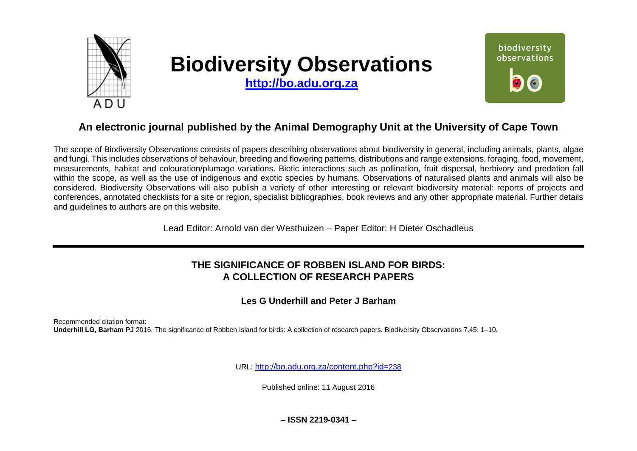

# **Biodiversity Observations**

**[http://bo.adu.org.za](http://bo.adu.org.za/)**



# **An electronic journal published by the Animal Demography Unit at the University of Cape Town**

The scope of Biodiversity Observations consists of papers describing observations about biodiversity in general, including animals, plants, algae and fungi. This includes observations of behaviour, breeding and flowering patterns, distributions and range extensions, foraging, food, movement, measurements, habitat and colouration/plumage variations. Biotic interactions such as pollination, fruit dispersal, herbivory and predation fall within the scope, as well as the use of indigenous and exotic species by humans. Observations of naturalised plants and animals will also be considered. Biodiversity Observations will also publish a variety of other interesting or relevant biodiversity material: reports of projects and conferences, annotated checklists for a site or region, specialist bibliographies, book reviews and any other appropriate material. Further details and guidelines to authors are on this website.

Lead Editor: Arnold van der Westhuizen – Paper Editor: H Dieter Oschadleus

# **THE SIGNIFICANCE OF ROBBEN ISLAND FOR BIRDS: A COLLECTION OF RESEARCH PAPERS**

### **Les G Underhill and Peter J Barham**

Recommended citation format: **Underhill LG, Barham PJ** 2016. The significance of Robben Island for birds: A collection of research papers. Biodiversity Observations 7.45: 1–10.

URL: [http://bo.adu.org.za/content.php?id=](http://bo.adu.org.za/content.php?id=238)238

Published online: 11 August 2016

**– ISSN 2219-0341 –**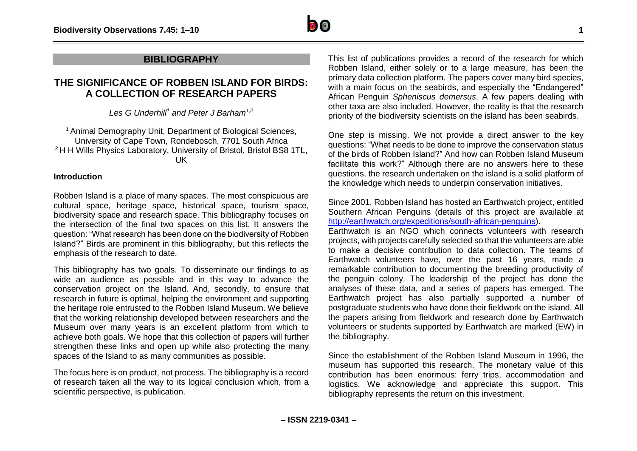

### **BIBLIOGRAPHY**

## **THE SIGNIFICANCE OF ROBBEN ISLAND FOR BIRDS: A COLLECTION OF RESEARCH PAPERS**

*Les G Underhill<sup>1</sup> and Peter J Barham1,2*

<sup>1</sup> Animal Demography Unit, Department of Biological Sciences, University of Cape Town, Rondebosch, 7701 South Africa <sup>2</sup> H H Wills Physics Laboratory, University of Bristol, Bristol BS8 1TL, UK

### **Introduction**

Robben Island is a place of many spaces. The most conspicuous are cultural space, heritage space, historical space, tourism space, biodiversity space and research space. This bibliography focuses on the intersection of the final two spaces on this list. It answers the question: "What research has been done on the biodiversity of Robben Island?" Birds are prominent in this bibliography, but this reflects the emphasis of the research to date.

This bibliography has two goals. To disseminate our findings to as wide an audience as possible and in this way to advance the conservation project on the Island. And, secondly, to ensure that research in future is optimal, helping the environment and supporting the heritage role entrusted to the Robben Island Museum. We believe that the working relationship developed between researchers and the Museum over many years is an excellent platform from which to achieve both goals. We hope that this collection of papers will further strengthen these links and open up while also protecting the many spaces of the Island to as many communities as possible.

The focus here is on product, not process. The bibliography is a record of research taken all the way to its logical conclusion which, from a scientific perspective, is publication.

This list of publications provides a record of the research for which Robben Island, either solely or to a large measure, has been the primary data collection platform. The papers cover many bird species, with a main focus on the seabirds, and especially the "Endangered" African Penguin *Spheniscus demersus*. A few papers dealing with other taxa are also included. However, the reality is that the research priority of the biodiversity scientists on the island has been seabirds.

One step is missing. We not provide a direct answer to the key questions: "What needs to be done to improve the conservation status of the birds of Robben Island?" And how can Robben Island Museum facilitate this work?" Although there are no answers here to these questions, the research undertaken on the island is a solid platform of the knowledge which needs to underpin conservation initiatives.

Since 2001, Robben Island has hosted an Earthwatch project, entitled Southern African Penguins (details of this project are available at [http://earthwatch.org/expeditions/south-african-penguins\)](http://earthwatch.org/expeditions/south-african-penguins).

Earthwatch is an NGO which connects volunteers with research projects, with projects carefully selected so that the volunteers are able to make a decisive contribution to data collection. The teams of Earthwatch volunteers have, over the past 16 years, made a remarkable contribution to documenting the breeding productivity of the penguin colony. The leadership of the project has done the analyses of these data, and a series of papers has emerged. The Earthwatch project has also partially supported a number of postgraduate students who have done their fieldwork on the island. All the papers arising from fieldwork and research done by Earthwatch volunteers or students supported by Earthwatch are marked (EW) in the bibliography.

Since the establishment of the Robben Island Museum in 1996, the museum has supported this research. The monetary value of this contribution has been enormous: ferry trips, accommodation and logistics. We acknowledge and appreciate this support. This bibliography represents the return on this investment.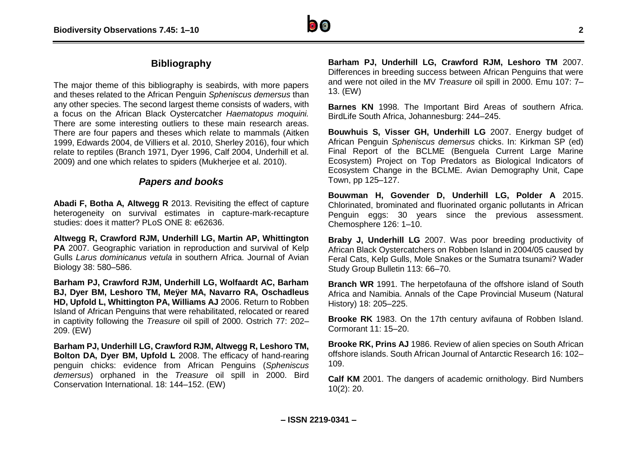# **Bibliography**

The major theme of this bibliography is seabirds, with more papers and theses related to the African Penguin *Spheniscus demersus* than any other species. The second largest theme consists of waders, with a focus on the African Black Oystercatcher *Haematopus moquini.* There are some interesting outliers to these main research areas. There are four papers and theses which relate to mammals (Aitken 1999, Edwards 2004, de Villiers et al. 2010, Sherley 2016), four which relate to reptiles (Branch 1971, Dyer 1996, Calf 2004, Underhill et al. 2009) and one which relates to spiders (Mukherjee et al. 2010).

### *Papers and books*

**Abadi F, Botha A, Altwegg R** 2013. Revisiting the effect of capture heterogeneity on survival estimates in capture-mark-recapture studies: does it matter? PLoS ONE 8: e62636.

**Altwegg R, Crawford RJM, Underhill LG, Martin AP, Whittington PA** 2007. Geographic variation in reproduction and survival of Kelp Gulls *Larus dominicanus vetula* in southern Africa. Journal of Avian Biology 38: 580–586.

**Barham PJ, Crawford RJM, Underhill LG, Wolfaardt AC, Barham BJ, Dyer BM, Leshoro TM, Meÿer MA, Navarro RA, Oschadleus HD, Upfold L, Whittington PA, Williams AJ** 2006. Return to Robben Island of African Penguins that were rehabilitated, relocated or reared in captivity following the *Treasure* oil spill of 2000. Ostrich 77: 202– 209. (EW)

**Barham PJ, Underhill LG, Crawford RJM, Altwegg R, Leshoro TM, Bolton DA, Dyer BM, Upfold L** 2008. The efficacy of hand-rearing penguin chicks: evidence from African Penguins (*Spheniscus demersus*) orphaned in the *Treasure* oil spill in 2000. Bird Conservation International. 18: 144–152. (EW)

**Barham PJ, Underhill LG, Crawford RJM, Leshoro TM** 2007. Differences in breeding success between African Penguins that were and were not oiled in the MV *Treasure* oil spill in 2000. Emu 107: 7– 13. (EW)

**Barnes KN** 1998. The Important Bird Areas of southern Africa. BirdLife South Africa, Johannesburg: 244–245.

**Bouwhuis S, Visser GH, Underhill LG** 2007. Energy budget of African Penguin *Spheniscus demersus* chicks. In: Kirkman SP (ed) Final Report of the BCLME (Benguela Current Large Marine Ecosystem) Project on Top Predators as Biological Indicators of Ecosystem Change in the BCLME. Avian Demography Unit, Cape Town, pp 125–127.

**Bouwman H, Govender D, Underhill LG, Polder A** 2015. Chlorinated, brominated and fluorinated organic pollutants in African Penguin eggs: 30 years since the previous assessment. Chemosphere 126: 1–10.

**Braby J, Underhill LG** 2007. Was poor breeding productivity of African Black Oystercatchers on Robben Island in 2004/05 caused by Feral Cats, Kelp Gulls, Mole Snakes or the Sumatra tsunami? Wader Study Group Bulletin 113: 66–70.

**Branch WR** 1991. The herpetofauna of the offshore island of South Africa and Namibia. Annals of the Cape Provincial Museum (Natural History) 18: 205–225.

**Brooke RK** 1983. On the 17th century avifauna of Robben Island. Cormorant 11: 15–20.

**Brooke RK, Prins AJ** 1986. Review of alien species on South African offshore islands. South African Journal of Antarctic Research 16: 102– 109.

**Calf KM** 2001. The dangers of academic ornithology. Bird Numbers 10(2): 20.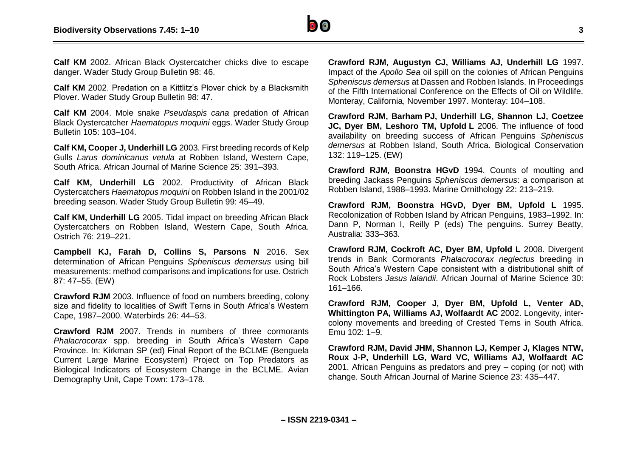

**Calf KM** 2002. African Black Oystercatcher chicks dive to escape danger. Wader Study Group Bulletin 98: 46.

**Calf KM** 2002. Predation on a Kittlitz's Plover chick by a Blacksmith Plover. Wader Study Group Bulletin 98: 47.

**Calf KM** 2004. Mole snake *Pseudaspis cana* predation of African Black Oystercatcher *Haematopus moquini* eggs. Wader Study Group Bulletin 105: 103–104.

**Calf KM, Cooper J, Underhill LG** 2003. First breeding records of Kelp Gulls *Larus dominicanus vetula* at Robben Island, Western Cape, South Africa. African Journal of Marine Science 25: 391–393.

**Calf KM, Underhill LG** 2002. Productivity of African Black Oystercatchers *Haematopus moquini* on Robben Island in the 2001/02 breeding season. Wader Study Group Bulletin 99: 45–49.

**Calf KM, Underhill LG** 2005. Tidal impact on breeding African Black Oystercatchers on Robben Island, Western Cape, South Africa. Ostrich 76: 219–221.

**Campbell KJ, Farah D, Collins S, Parsons N** 2016. Sex determination of African Penguins *Spheniscus demersus* using bill measurements: method comparisons and implications for use. Ostrich 87: 47–55. (EW)

**Crawford RJM** 2003. Influence of food on numbers breeding, colony size and fidelity to localities of Swift Terns in South Africa's Western Cape, 1987–2000. Waterbirds 26: 44–53.

**Crawford RJM** 2007. Trends in numbers of three cormorants *Phalacrocorax* spp. breeding in South Africa's Western Cape Province. In: Kirkman SP (ed) Final Report of the BCLME (Benguela Current Large Marine Ecosystem) Project on Top Predators as Biological Indicators of Ecosystem Change in the BCLME. Avian Demography Unit, Cape Town: 173–178.

**Crawford RJM, Augustyn CJ, Williams AJ, Underhill LG** 1997. Impact of the *Apollo Sea* oil spill on the colonies of African Penguins *Spheniscus demersus* at Dassen and Robben Islands. In Proceedings of the Fifth International Conference on the Effects of Oil on Wildlife. Monteray, California, November 1997. Monteray: 104–108.

**Crawford RJM, Barham PJ, Underhill LG, Shannon LJ, Coetzee JC, Dyer BM, Leshoro TM, Upfold L** 2006. The influence of food availability on breeding success of African Penguins *Spheniscus demersus* at Robben Island, South Africa. Biological Conservation 132: 119–125. (EW)

**Crawford RJM, Boonstra HGvD** 1994. Counts of moulting and breeding Jackass Penguins *Spheniscus demersus*: a comparison at Robben Island, 1988–1993. Marine Ornithology 22: 213–219.

**Crawford RJM, Boonstra HGvD, Dyer BM, Upfold L** 1995. Recolonization of Robben Island by African Penguins, 1983–1992. In: Dann P, Norman I, Reilly P (eds) The penguins. Surrey Beatty, Australia: 333–363.

**Crawford RJM, Cockroft AC, Dyer BM, Upfold L** 2008. Divergent trends in Bank Cormorants *Phalacrocorax neglectus* breeding in South Africa's Western Cape consistent with a distributional shift of Rock Lobsters *Jasus lalandii*. African Journal of Marine Science 30: 161–166.

**Crawford RJM, Cooper J, Dyer BM, Upfold L, Venter AD, Whittington PA, Williams AJ, Wolfaardt AC** 2002. Longevity, intercolony movements and breeding of Crested Terns in South Africa. Emu 102: 1–9.

**Crawford RJM, David JHM, Shannon LJ, Kemper J, Klages NTW, Roux J-P, Underhill LG, Ward VC, Williams AJ, Wolfaardt AC** 2001. African Penguins as predators and prey – coping (or not) with change. South African Journal of Marine Science 23: 435–447.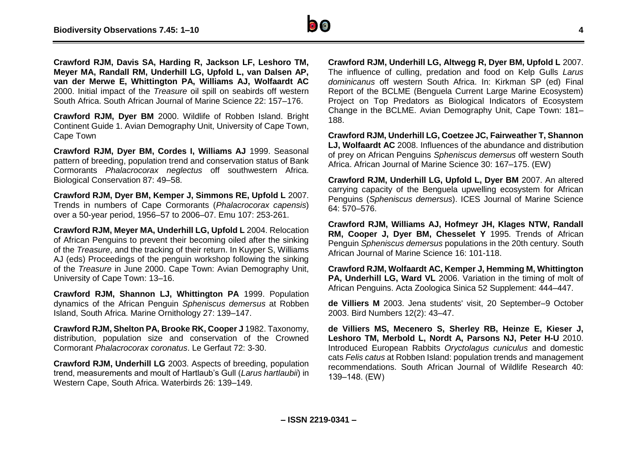

**Crawford RJM, Davis SA, Harding R, Jackson LF, Leshoro TM, Meyer MA, Randall RM, Underhill LG, Upfold L, van Dalsen AP, van der Merwe E, Whittington PA, Williams AJ, Wolfaardt AC** 2000. Initial impact of the *Treasure* oil spill on seabirds off western South Africa. South African Journal of Marine Science 22: 157–176.

**Crawford RJM, Dyer BM** 2000. Wildlife of Robben Island. Bright Continent Guide 1. Avian Demography Unit, University of Cape Town, Cape Town

**Crawford RJM, Dyer BM, Cordes I, Williams AJ** 1999. Seasonal pattern of breeding, population trend and conservation status of Bank Cormorants *Phalacrocorax neglectus* off southwestern Africa. Biological Conservation 87: 49–58.

**Crawford RJM, Dyer BM, Kemper J, Simmons RE, Upfold L** 2007. Trends in numbers of Cape Cormorants (*Phalacrocorax capensis*) over a 50-year period, 1956–57 to 2006–07. Emu 107: 253-261.

**Crawford RJM, Meyer MA, Underhill LG, Upfold L** 2004. Relocation of African Penguins to prevent their becoming oiled after the sinking of the *Treasure*, and the tracking of their return. In Kuyper S, Williams AJ (eds) Proceedings of the penguin workshop following the sinking of the *Treasure* in June 2000. Cape Town: Avian Demography Unit, University of Cape Town: 13–16.

**Crawford RJM, Shannon LJ, Whittington PA** 1999. Population dynamics of the African Penguin *Spheniscus demersus* at Robben Island, South Africa. Marine Ornithology 27: 139–147.

**Crawford RJM, Shelton PA, Brooke RK, Cooper J** 1982. Taxonomy, distribution, population size and conservation of the Crowned Cormorant *Phalacrocorax coronatus*. Le Gerfaut 72: 3-30.

**Crawford RJM, Underhill LG** 2003. Aspects of breeding, population trend, measurements and moult of Hartlaub's Gull (*Larus hartlaubii*) in Western Cape, South Africa. Waterbirds 26: 139–149.

**Crawford RJM, Underhill LG, Altwegg R, Dyer BM, Upfold L** 2007. The influence of culling, predation and food on Kelp Gulls *Larus dominicanus* off western South Africa. In: Kirkman SP (ed) Final Report of the BCLME (Benguela Current Large Marine Ecosystem) Project on Top Predators as Biological Indicators of Ecosystem Change in the BCLME. Avian Demography Unit, Cape Town: 181– 188.

**Crawford RJM, Underhill LG, Coetzee JC, Fairweather T, Shannon LJ, Wolfaardt AC** 2008. Influences of the abundance and distribution of prey on African Penguins *Spheniscus demersus* off western South Africa. African Journal of Marine Science 30: 167–175. (EW)

**Crawford RJM, Underhill LG, Upfold L, Dyer BM** 2007. An altered carrying capacity of the Benguela upwelling ecosystem for African Penguins (*Spheniscus demersus*). ICES Journal of Marine Science 64: 570–576.

**Crawford RJM, Williams AJ, Hofmeyr JH, Klages NTW, Randall RM, Cooper J, Dyer BM, Chesselet Y** 1995. Trends of African Penguin *Spheniscus demersus* populations in the 20th century. South African Journal of Marine Science 16: 101-118.

**Crawford RJM, Wolfaardt AC, Kemper J, Hemming M, Whittington PA. Underhill LG. Ward VL** 2006. Variation in the timing of molt of African Penguins. Acta Zoologica Sinica 52 Supplement: 444–447.

**de Villiers M** 2003. Jena students' visit, 20 September–9 October 2003. Bird Numbers 12(2): 43–47.

**de Villiers MS, Mecenero S, Sherley RB, Heinze E, Kieser J, Leshoro TM, Merbold L, Nordt A, Parsons NJ, Peter H-U** 2010. Introduced European Rabbits *Oryctolagus cuniculus* and domestic cats *Felis catus* at Robben Island: population trends and management recommendations. South African Journal of Wildlife Research 40: 139‒148. (EW)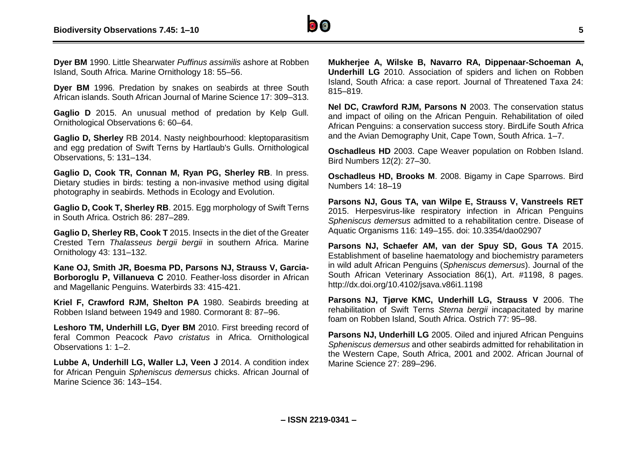

**Dyer BM** 1990. Little Shearwater *Puffinus assimilis* ashore at Robben Island, South Africa. Marine Ornithology 18: 55–56.

**Dyer BM** 1996. Predation by snakes on seabirds at three South African islands. South African Journal of Marine Science 17: 309–313.

Gaglio D 2015. An unusual method of predation by Kelp Gull. Ornithological Observations 6: 60–64.

**Gaglio D, Sherley** RB 2014. Nasty neighbourhood: kleptoparasitism and egg predation of Swift Terns by Hartlaub's Gulls. Ornithological Observations, 5: 131–134.

**Gaglio D, Cook TR, Connan M, Ryan PG, Sherley RB**. In press. Dietary studies in birds: testing a non-invasive method using digital photography in seabirds. Methods in Ecology and Evolution.

**Gaglio D, Cook T, Sherley RB**. 2015. Egg morphology of Swift Terns in South Africa. Ostrich 86: 287–289.

**Gaglio D, Sherley RB, Cook T** 2015. Insects in the diet of the Greater Crested Tern *Thalasseus bergii bergii* in southern Africa. Marine Ornithology 43: 131–132.

**Kane OJ, Smith JR, Boesma PD, Parsons NJ, Strauss V, Garcia-Borboroglu P, Villanueva C** 2010. Feather-loss disorder in African and Magellanic Penguins. Waterbirds 33: 415-421.

**Kriel F, Crawford RJM, Shelton PA** 1980. Seabirds breeding at Robben Island between 1949 and 1980. Cormorant 8: 87–96.

**Leshoro TM, Underhill LG, Dyer BM** 2010. First breeding record of feral Common Peacock *Pavo cristatus* in Africa. Ornithological Observations 1: 1–2.

**Lubbe A, Underhill LG, Waller LJ, Veen J** 2014. A condition index for African Penguin *Spheniscus demersus* chicks. African Journal of Marine Science 36: 143–154.

**Mukherjee A, Wilske B, Navarro RA, Dippenaar-Schoeman A, Underhill LG** 2010. Association of spiders and lichen on Robben Island, South Africa: a case report. Journal of Threatened Taxa 24: 815–819.

**Nel DC, Crawford RJM, Parsons N** 2003. The conservation status and impact of oiling on the African Penguin. Rehabilitation of oiled African Penguins: a conservation success story. BirdLife South Africa and the Avian Demography Unit, Cape Town, South Africa. 1–7.

**Oschadleus HD** 2003. Cape Weaver population on Robben Island. Bird Numbers 12(2): 27–30.

**Oschadleus HD, Brooks M**. 2008. Bigamy in Cape Sparrows. Bird Numbers 14: 18–19

**Parsons NJ, Gous TA, van Wilpe E, Strauss V, Vanstreels RET** 2015. Herpesvirus-like respiratory infection in African Penguins *Spheniscus demersus* admitted to a rehabilitation centre. Disease of Aquatic Organisms 116: 149–155. doi: 10.3354/dao02907

**Parsons NJ, Schaefer AM, van der Spuy SD, Gous TA** 2015. Establishment of baseline haematology and biochemistry parameters in wild adult African Penguins (*Spheniscus demersus*). Journal of the South African Veterinary Association 86(1), Art. #1198, 8 pages. http://dx.doi.org/10.4102/jsava.v86i1.1198

**Parsons NJ, Tjørve KMC, Underhill LG, Strauss V** 2006. The rehabilitation of Swift Terns *Sterna bergii* incapacitated by marine foam on Robben Island, South Africa. Ostrich 77: 95–98.

**Parsons NJ, Underhill LG** 2005. Oiled and injured African Penguins *Spheniscus demersus* and other seabirds admitted for rehabilitation in the Western Cape, South Africa, 2001 and 2002. African Journal of Marine Science 27: 289–296.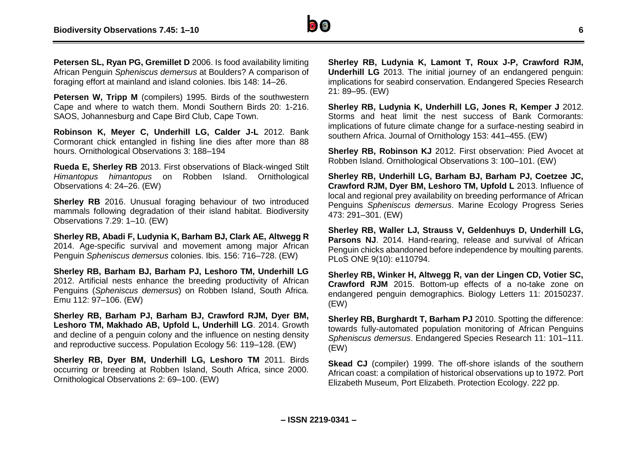

**Petersen SL, Ryan PG, Gremillet D** 2006. Is food availability limiting African Penguin *Spheniscus demersus* at Boulders? A comparison of foraging effort at mainland and island colonies. Ibis 148: 14–26.

**Petersen W, Tripp M** (compilers) 1995. Birds of the southwestern Cape and where to watch them. Mondi Southern Birds 20: 1-216. SAOS, Johannesburg and Cape Bird Club, Cape Town.

**Robinson K, Meyer C, Underhill LG, Calder J-L** 2012. Bank Cormorant chick entangled in fishing line dies after more than 88 hours. Ornithological Observations 3: 188–194

**Rueda E, Sherley RB** 2013. First observations of Black-winged Stilt *Himantopus himantopus* on Robben Island. Ornithological Observations 4: 24–26. (EW)

**Sherley RB** 2016. Unusual foraging behaviour of two introduced mammals following degradation of their island habitat. Biodiversity Observations 7.29: 1–10. (EW)

**Sherley RB, Abadi F, Ludynia K, Barham BJ, Clark AE, Altwegg R** 2014. Age-specific survival and movement among major African Penguin *Spheniscus demersus* colonies. Ibis. 156: 716–728. (EW)

**Sherley RB, Barham BJ, Barham PJ, Leshoro TM, Underhill LG** 2012. Artificial nests enhance the breeding productivity of African Penguins (*Spheniscus demersus*) on Robben Island, South Africa. Emu 112: 97–106. (EW)

**Sherley RB, Barham PJ, Barham BJ, Crawford RJM, Dyer BM, Leshoro TM, Makhado AB, Upfold L, Underhill LG**. 2014. Growth and decline of a penguin colony and the influence on nesting density and reproductive success. Population Ecology 56: 119–128. (EW)

**Sherley RB, Dyer BM, Underhill LG, Leshoro TM** 2011. Birds occurring or breeding at Robben Island, South Africa, since 2000. Ornithological Observations 2: 69–100. (EW)

**Sherley RB, Ludynia K, Lamont T, Roux J-P, Crawford RJM, Underhill LG** 2013. The initial journey of an endangered penguin: implications for seabird conservation. Endangered Species Research 21: 89–95. (EW)

**Sherley RB, Ludynia K, Underhill LG, Jones R, Kemper J** 2012. Storms and heat limit the nest success of Bank Cormorants: implications of future climate change for a surface-nesting seabird in southern Africa. Journal of Ornithology 153: 441–455. (EW)

**Sherley RB, Robinson KJ** 2012. First observation: Pied Avocet at Robben Island. Ornithological Observations 3: 100–101. (EW)

**Sherley RB, Underhill LG, Barham BJ, Barham PJ, Coetzee JC, Crawford RJM, Dyer BM, Leshoro TM, Upfold L** 2013. Influence of local and regional prey availability on breeding performance of African Penguins *Spheniscus demersus*. Marine Ecology Progress Series 473: 291–301. (EW)

**Sherley RB, Waller LJ, Strauss V, Geldenhuys D, Underhill LG, Parsons NJ**. 2014. Hand-rearing, release and survival of African Penguin chicks abandoned before independence by moulting parents. PLoS ONE 9(10): e110794.

**Sherley RB, Winker H, Altwegg R, van der Lingen CD, Votier SC, Crawford RJM** 2015. Bottom-up effects of a no-take zone on endangered penguin demographics. Biology Letters 11: 20150237. (EW)

**Sherley RB, Burghardt T, Barham PJ 2010.** Spotting the difference: towards fully-automated population monitoring of African Penguins *Spheniscus demersus*. Endangered Species Research 11: 101–111. (EW)

**Skead CJ** (compiler) 1999. The off-shore islands of the southern African coast: a compilation of historical observations up to 1972. Port Elizabeth Museum, Port Elizabeth. Protection Ecology. 222 pp.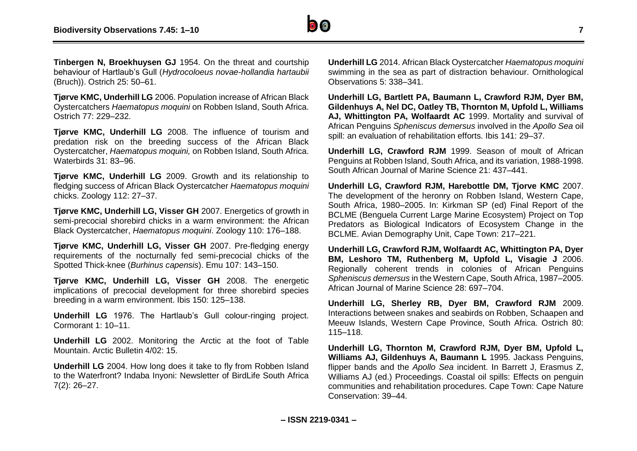

**Tinbergen N, Broekhuysen GJ** 1954. On the threat and courtship behaviour of Hartlaub's Gull (*Hydrocoloeus novae-hollandia hartaubii*  (Bruch)). Ostrich 25: 50–61.

**Tjørve KMC, Underhill LG** 2006. Population increase of African Black Oystercatchers *Haematopus moquini* on Robben Island, South Africa. Ostrich 77: 229–232.

**Tjørve KMC, Underhill LG** 2008. The influence of tourism and predation risk on the breeding success of the African Black Oystercatcher, *Haematopus moquini,* on Robben Island, South Africa. Waterbirds 31: 83–96.

**Tjørve KMC, Underhill LG** 2009. Growth and its relationship to fledging success of African Black Oystercatcher *Haematopus moquini* chicks. Zoology 112: 27–37.

**Tjørve KMC, Underhill LG, Visser GH** 2007. Energetics of growth in semi-precocial shorebird chicks in a warm environment: the African Black Oystercatcher, *Haematopus moquini*. Zoology 110: 176–188.

**Tjørve KMC, Underhill LG, Visser GH** 2007. Pre-fledging energy requirements of the nocturnally fed semi-precocial chicks of the Spotted Thick-knee (*Burhinus capensis*). Emu 107: 143–150.

**Tjørve KMC, Underhill LG, Visser GH** 2008. The energetic implications of precocial development for three shorebird species breeding in a warm environment. Ibis 150: 125–138.

**Underhill LG** 1976. The Hartlaub's Gull colour-ringing project. Cormorant 1: 10–11.

**Underhill LG** 2002. Monitoring the Arctic at the foot of Table Mountain. Arctic Bulletin 4/02: 15.

**Underhill LG** 2004. How long does it take to fly from Robben Island to the Waterfront? Indaba Inyoni: Newsletter of BirdLife South Africa 7(2): 26–27.

**Underhill LG** 2014. African Black Oystercatcher *Haematopus moquini* swimming in the sea as part of distraction behaviour. Ornithological Observations 5: 338–341.

**Underhill LG, Bartlett PA, Baumann L, Crawford RJM, Dyer BM, Gildenhuys A, Nel DC, Oatley TB, Thornton M, Upfold L, Williams AJ, Whittington PA, Wolfaardt AC** 1999. Mortality and survival of African Penguins *Spheniscus demersus* involved in the *Apollo Sea* oil spill: an evaluation of rehabilitation efforts. Ibis 141: 29–37.

**Underhill LG, Crawford RJM** 1999. Season of moult of African Penguins at Robben Island, South Africa, and its variation, 1988-1998. South African Journal of Marine Science 21: 437–441.

**Underhill LG, Crawford RJM, Harebottle DM, Tjorve KMC** 2007. The development of the heronry on Robben Island, Western Cape, South Africa, 1980–2005. In: Kirkman SP (ed) Final Report of the BCLME (Benguela Current Large Marine Ecosystem) Project on Top Predators as Biological Indicators of Ecosystem Change in the BCLME. Avian Demography Unit, Cape Town: 217–221.

**Underhill LG, Crawford RJM, Wolfaardt AC, Whittington PA, Dyer BM, Leshoro TM, Ruthenberg M, Upfold L, Visagie J** 2006. Regionally coherent trends in colonies of African Penguins *Spheniscus demersus* in the Western Cape, South Africa, 1987–2005. African Journal of Marine Science 28: 697–704.

**Underhill LG, Sherley RB, Dyer BM, Crawford RJM** 2009. Interactions between snakes and seabirds on Robben, Schaapen and Meeuw Islands, Western Cape Province, South Africa. Ostrich 80: 115–118.

**Underhill LG, Thornton M, Crawford RJM, Dyer BM, Upfold L, Williams AJ, Gildenhuys A, Baumann L** 1995. Jackass Penguins, flipper bands and the *Apollo Sea* incident. In Barrett J, Erasmus Z, Williams AJ (ed.) Proceedings. Coastal oil spills: Effects on penguin communities and rehabilitation procedures. Cape Town: Cape Nature Conservation: 39–44.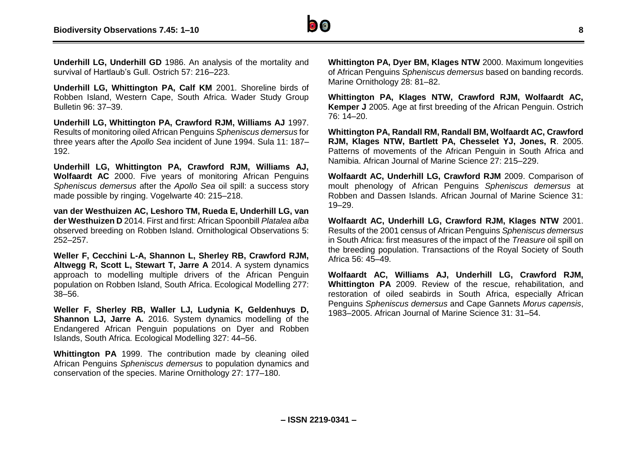

**Underhill LG, Underhill GD** 1986. An analysis of the mortality and survival of Hartlaub's Gull. Ostrich 57: 216–223.

**Underhill LG, Whittington PA, Calf KM** 2001. Shoreline birds of Robben Island, Western Cape, South Africa. Wader Study Group Bulletin 96: 37–39.

**Underhill LG, Whittington PA, Crawford RJM, Williams AJ** 1997. Results of monitoring oiled African Penguins *Spheniscus demersus* for three years after the *Apollo Sea* incident of June 1994. Sula 11: 187– 192.

**Underhill LG, Whittington PA, Crawford RJM, Williams AJ, Wolfaardt AC** 2000. Five years of monitoring African Penguins *Spheniscus demersus* after the *Apollo Sea* oil spill: a success story made possible by ringing. Vogelwarte 40: 215–218.

**van der Westhuizen AC, Leshoro TM, Rueda E, Underhill LG, van der Westhuizen D** 2014. First and first: African Spoonbill *Platalea alba* observed breeding on Robben Island. Ornithological Observations 5: 252–257.

**Weller F, Cecchini L-A, Shannon L, Sherley RB, Crawford RJM, Altwegg R, Scott L, Stewart T, Jarre A** 2014. A system dynamics approach to modelling multiple drivers of the African Penguin population on Robben Island, South Africa. Ecological Modelling 277: 38–56.

**Weller F, Sherley RB, Waller LJ, Ludynia K, Geldenhuys D, Shannon LJ, Jarre A.** 2016. System dynamics modelling of the Endangered African Penguin populations on Dyer and Robben Islands, South Africa. Ecological Modelling 327: 44–56.

**Whittington PA** 1999. The contribution made by cleaning oiled African Penguins *Spheniscus demersus* to population dynamics and conservation of the species. Marine Ornithology 27: 177–180.

**Whittington PA, Dyer BM, Klages NTW** 2000. Maximum longevities of African Penguins *Spheniscus demersus* based on banding records. Marine Ornithology 28: 81–82.

**Whittington PA, Klages NTW, Crawford RJM, Wolfaardt AC, Kemper J** 2005. Age at first breeding of the African Penguin. Ostrich 76: 14–20.

**Whittington PA, Randall RM, Randall BM, Wolfaardt AC, Crawford RJM, Klages NTW, Bartlett PA, Chesselet YJ, Jones, R**. 2005. Patterns of movements of the African Penguin in South Africa and Namibia. African Journal of Marine Science 27: 215–229.

**Wolfaardt AC, Underhill LG, Crawford RJM** 2009. Comparison of moult phenology of African Penguins *Spheniscus demersus* at Robben and Dassen Islands. African Journal of Marine Science 31: 19–29.

**Wolfaardt AC, Underhill LG, Crawford RJM, Klages NTW** 2001. Results of the 2001 census of African Penguins *Spheniscus demersus* in South Africa: first measures of the impact of the *Treasure* oil spill on the breeding population. Transactions of the Royal Society of South Africa 56: 45–49.

**Wolfaardt AC, Williams AJ, Underhill LG, Crawford RJM, Whittington PA** 2009. Review of the rescue, rehabilitation, and restoration of oiled seabirds in South Africa, especially African Penguins *Spheniscus demersus* and Cape Gannets *Morus capensis*, 1983–2005. African Journal of Marine Science 31: 31–54.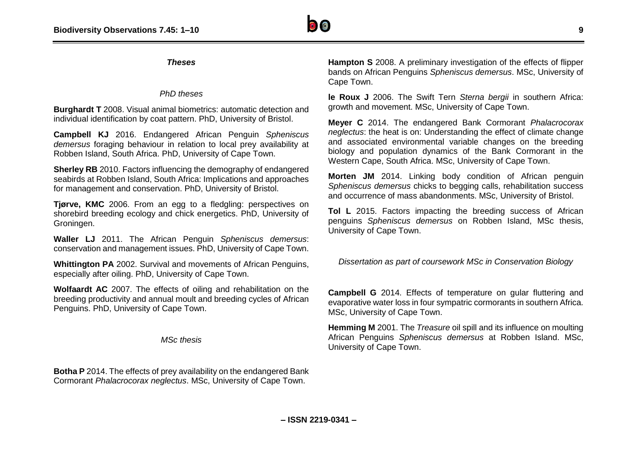### *Theses*

### *PhD theses*

**Burghardt T** 2008. Visual animal biometrics: automatic detection and individual identification by coat pattern. PhD, University of Bristol.

**Campbell KJ** 2016. Endangered African Penguin *Spheniscus demersus* foraging behaviour in relation to local prey availability at Robben Island, South Africa. PhD, University of Cape Town.

**Sherley RB** 2010. Factors influencing the demography of endangered seabirds at Robben Island, South Africa: Implications and approaches for management and conservation. PhD, University of Bristol.

**Tjørve, KMC** 2006. From an egg to a fledgling: perspectives on shorebird breeding ecology and chick energetics. PhD, University of Groningen.

**Waller LJ** 2011. The African Penguin *Spheniscus demersus*: conservation and management issues. PhD, University of Cape Town.

**Whittington PA** 2002. Survival and movements of African Penguins, especially after oiling. PhD, University of Cape Town.

**Wolfaardt AC** 2007. The effects of oiling and rehabilitation on the breeding productivity and annual moult and breeding cycles of African Penguins. PhD, University of Cape Town.

*MSc thesis*

**Botha P** 2014. The effects of prey availability on the endangered Bank Cormorant *Phalacrocorax neglectus*. MSc, University of Cape Town.

**Hampton S** 2008. A preliminary investigation of the effects of flipper bands on African Penguins *Spheniscus demersus*. MSc, University of Cape Town.

**le Roux J** 2006. The Swift Tern *Sterna bergii* in southern Africa: growth and movement. MSc, University of Cape Town.

**Meyer C** 2014. The endangered Bank Cormorant *Phalacrocorax neglectus*: the heat is on: Understanding the effect of climate change and associated environmental variable changes on the breeding biology and population dynamics of the Bank Cormorant in the Western Cape, South Africa. MSc, University of Cape Town.

**Morten JM** 2014. Linking body condition of African penguin *Spheniscus demersus* chicks to begging calls, rehabilitation success and occurrence of mass abandonments. MSc, University of Bristol.

**Tol L** 2015. Factors impacting the breeding success of African penguins *Spheniscus demersus* on Robben Island, MSc thesis, University of Cape Town.

*Dissertation as part of coursework MSc in Conservation Biology*

**Campbell G** 2014. Effects of temperature on gular fluttering and evaporative water loss in four sympatric cormorants in southern Africa. MSc, University of Cape Town.

**Hemming M** 2001. The *Treasure* oil spill and its influence on moulting African Penguins *Spheniscus demersus* at Robben Island. MSc, University of Cape Town.